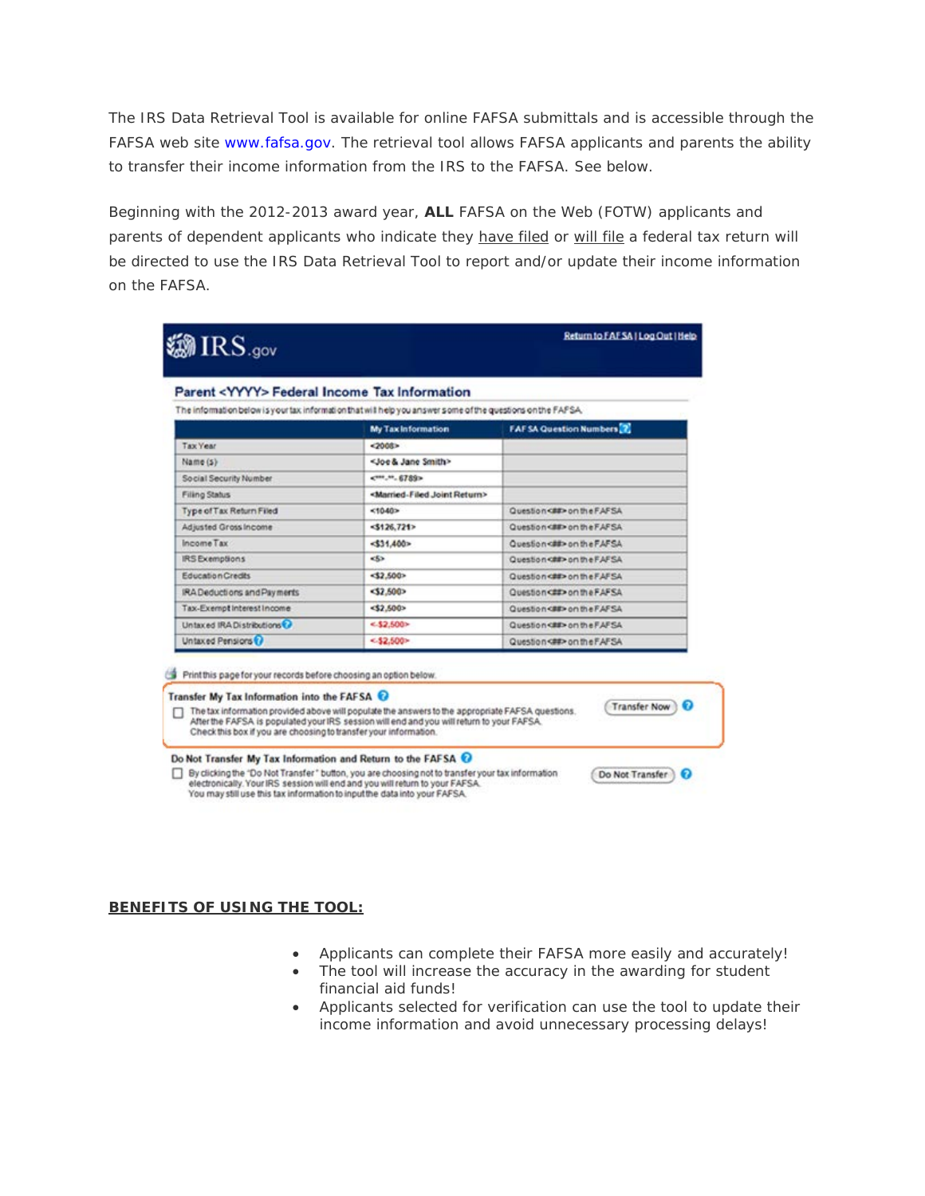The IRS Data Retrieval Tool is available for online FAFSA submittals and is accessible through the FAFSA web site [www.fafsa.gov.](http://www.fafsa.gov/) The retrieval tool allows FAFSA applicants and parents the ability to transfer their income information from the IRS to the FAFSA. See below.

Beginning with the 2012-2013 award year, **ALL** FAFSA on the Web (FOTW) applicants and parents of dependent applicants who indicate they *have filed* or *will file* a federal tax return will be directed to use the IRS Data Retrieval Tool to report and/or update their income information on the FAFSA.

| Parent <yyyy> Federal Income Tax Information</yyyy>                                                         |                                                    |                                                                                                                                                                       |
|-------------------------------------------------------------------------------------------------------------|----------------------------------------------------|-----------------------------------------------------------------------------------------------------------------------------------------------------------------------|
| The information below is your tax information that will help you answer some of the questions on the FAFSA. |                                                    |                                                                                                                                                                       |
|                                                                                                             | My Tax Information                                 | <b>FAFSA Question Numbers</b> 2                                                                                                                                       |
| <b>Tax Year</b>                                                                                             | $-2000$                                            |                                                                                                                                                                       |
| Name (s)                                                                                                    | <joe &="" jane="" smith=""></joe>                  |                                                                                                                                                                       |
| Social Security Number                                                                                      | CHILM. 6789>                                       |                                                                                                                                                                       |
| <b>Filing Status</b>                                                                                        | <married-filed joint="" return=""></married-filed> |                                                                                                                                                                       |
| Type of Tax Return Filed                                                                                    | <10.40                                             | Question<br>on the FAFSA                                                                                                                                              |
| Adjusted Gross Income                                                                                       | $-3126,721$                                        |                                                                                                                                                                       |
| Income Tax                                                                                                  | $-531,400$                                         | Question case on the FAFSA                                                                                                                                            |
| <b>IRS</b> Exemptions                                                                                       | <٤                                                 | Question<br>car on the FAFSA                                                                                                                                          |
| <b>Education Credits</b>                                                                                    | 52,500                                             | Question<br>care on the FAFSA                                                                                                                                         |
| IRA Deductions and Payments                                                                                 | 52,500                                             | Question<br>duestion<br><br>duestion<br><br>duestion<br><br>duestion<br><br>duestion<br><br>duestion<br><br>duestion<br><<br>duestion<br><<br>duestion<br><<br>duesti |
| Tax-Exempt Interest Income                                                                                  | $<$ \$2,500>                                       | Question <be> on the FAFSA</be>                                                                                                                                       |
| Untaxed IRADistributions                                                                                    | $-52,500$                                          | Question<br>con<br>the FAFSA                                                                                                                                          |
| Untaxed Pensions <sup>(2)</sup>                                                                             | $-52,500-$                                         | Question<##>on the FAFSA                                                                                                                                              |

#### Do Not Transfer My Tax Information and Return to the FAFSA @

By clicking the "Do Not Transfer" button, you are choosing not to transfer your tax information electronically. Your IRS session will end and you will return to your FAFSA.<br>You may still use this tax information to input the data into your FAFSA.

#### **BENEFITS OF USING THE TOOL:**

• Applicants can complete their FAFSA more easily and accurately!

Do Not Transfer

- The tool will increase the accuracy in the awarding for student financial aid funds!
- Applicants selected for verification can use the tool to update their income information and avoid unnecessary processing delays!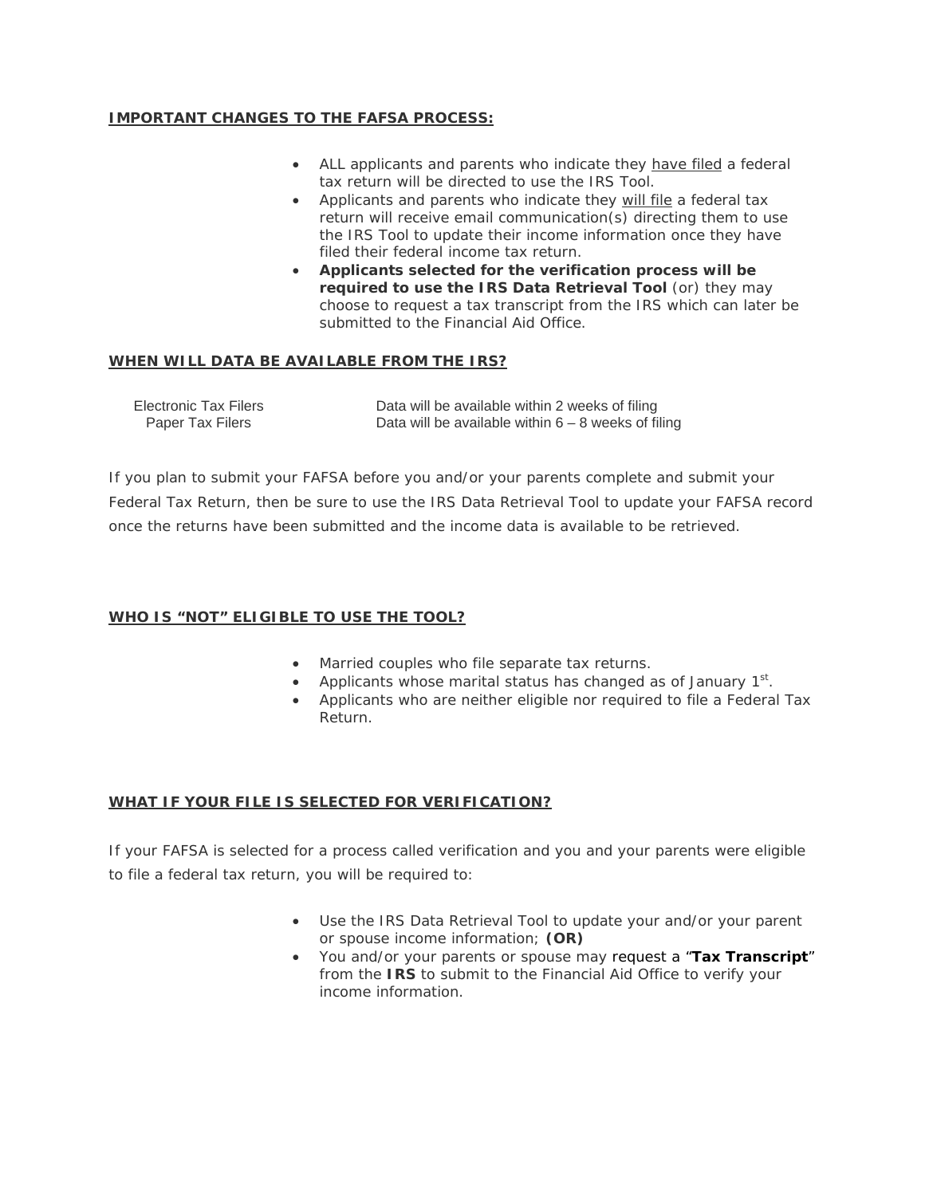## **IMPORTANT CHANGES TO THE FAFSA PROCESS:**

- ALL applicants and parents who indicate they have filed a federal tax return will be directed to use the IRS Tool.
- Applicants and parents who indicate they will file a federal tax return will receive email communication(s) directing them to use the IRS Tool to update their income information once they have filed their federal income tax return.
- **Applicants selected for the verification process will be required to use the IRS Data Retrieval Tool** (or) they may choose to request a tax transcript from the IRS which can later be submitted to the Financial Aid Office.

## **WHEN WILL DATA BE AVAILABLE FROM THE IRS?**

| Electronic Tax Filers | Data will be available within 2 weeks of filing       |
|-----------------------|-------------------------------------------------------|
| Paper Tax Filers      | Data will be available within $6 - 8$ weeks of filing |

*If you plan to submit your FAFSA before you and/or your parents complete and submit your Federal Tax Return, then be sure to use the IRS Data Retrieval Tool to update your FAFSA record once the returns have been submitted and the income data is available to be retrieved.*

#### **WHO IS "NOT" ELIGIBLE TO USE THE TOOL?**

- Married couples who file separate tax returns.
- Applicants whose marital status has changed as of January  $1<sup>st</sup>$ .
- Applicants who are neither eligible nor required to file a Federal Tax Return.

# **WHAT IF YOUR FILE IS SELECTED FOR VERIFICATION?**

If your FAFSA is selected for a process called verification and you and your parents were eligible to file a federal tax return, you will be required to:

- Use the IRS Data Retrieval Tool to update your and/or your parent or spouse income information; **(OR)**
- You and/or your parents or spouse may request a "**[Tax Transcript](http://www.calstatela.edu/univ/finaid/forms/IRS%20Data%20-%20Tax%20Transcript%20Request.pdf)**" from the **IRS** to submit to the Financial Aid Office to verify your income information.